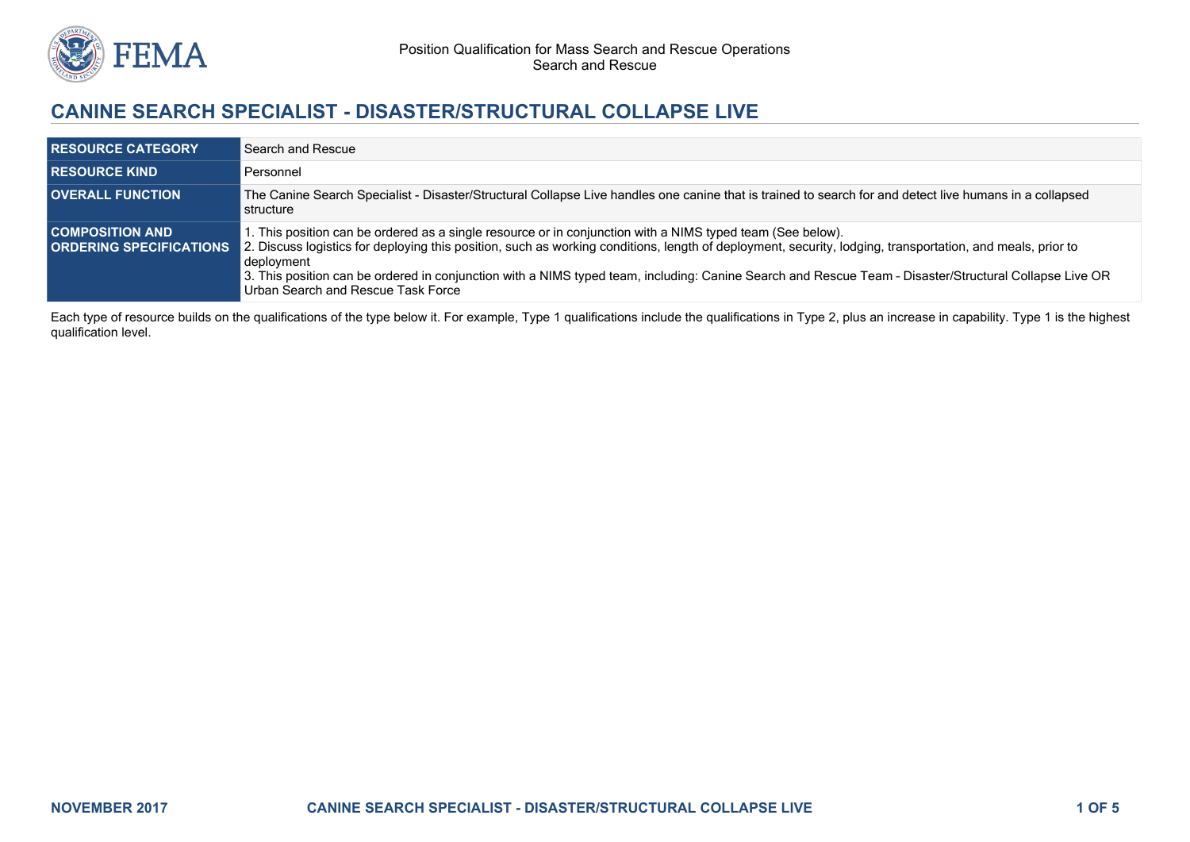

# **CANINE SEARCH SPECIALIST - DISASTER/STRUCTURAL COLLAPSE LIVE**

| <b>RESOURCE CATEGORY</b>                                 | Search and Rescue                                                                                                                                                                                                                                                                                                                                                                                                                                                                      |
|----------------------------------------------------------|----------------------------------------------------------------------------------------------------------------------------------------------------------------------------------------------------------------------------------------------------------------------------------------------------------------------------------------------------------------------------------------------------------------------------------------------------------------------------------------|
| <b>RESOURCE KIND</b>                                     | Personnel                                                                                                                                                                                                                                                                                                                                                                                                                                                                              |
| <b>OVERALL FUNCTION</b>                                  | The Canine Search Specialist - Disaster/Structural Collapse Live handles one canine that is trained to search for and detect live humans in a collapsed<br>structure                                                                                                                                                                                                                                                                                                                   |
| <b>COMPOSITION AND</b><br><b>ORDERING SPECIFICATIONS</b> | 1. This position can be ordered as a single resource or in conjunction with a NIMS typed team (See below).<br>2. Discuss logistics for deploying this position, such as working conditions, length of deployment, security, lodging, transportation, and meals, prior to<br>deployment<br>3. This position can be ordered in conjunction with a NIMS typed team, including: Canine Search and Rescue Team - Disaster/Structural Collapse Live OR<br>Urban Search and Rescue Task Force |

Each type of resource builds on the qualifications of the type below it. For example, Type 1 qualifications include the qualifications in Type 2, plus an increase in capability. Type 1 is the highest qualification level.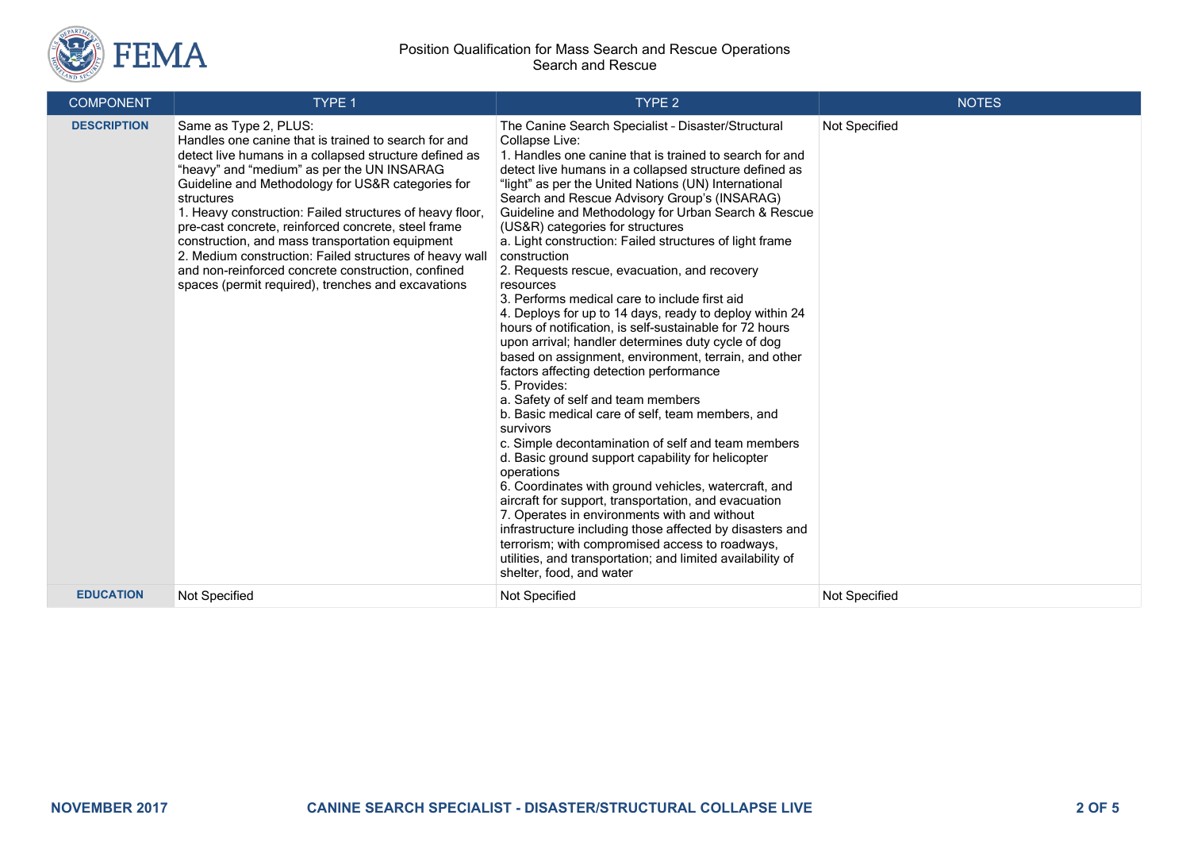

#### Position Qualification for Mass Search and Rescue Operations Search and Rescue

| <b>COMPONENT</b>   | <b>TYPE 1</b>                                                                                                                                                                                                                                                                                                                                                                                                                                                                                                                                                                                         | TYPE <sub>2</sub>                                                                                                                                                                                                                                                                                                                                                                                                                                                                                                                                                                                                                                                                                                                                                                                                                                                                                                                                                                                                                                                                                                                                                                                                                                                                                                                                                                                                                                                                             | <b>NOTES</b>  |
|--------------------|-------------------------------------------------------------------------------------------------------------------------------------------------------------------------------------------------------------------------------------------------------------------------------------------------------------------------------------------------------------------------------------------------------------------------------------------------------------------------------------------------------------------------------------------------------------------------------------------------------|-----------------------------------------------------------------------------------------------------------------------------------------------------------------------------------------------------------------------------------------------------------------------------------------------------------------------------------------------------------------------------------------------------------------------------------------------------------------------------------------------------------------------------------------------------------------------------------------------------------------------------------------------------------------------------------------------------------------------------------------------------------------------------------------------------------------------------------------------------------------------------------------------------------------------------------------------------------------------------------------------------------------------------------------------------------------------------------------------------------------------------------------------------------------------------------------------------------------------------------------------------------------------------------------------------------------------------------------------------------------------------------------------------------------------------------------------------------------------------------------------|---------------|
| <b>DESCRIPTION</b> | Same as Type 2, PLUS:<br>Handles one canine that is trained to search for and<br>detect live humans in a collapsed structure defined as<br>"heavy" and "medium" as per the UN INSARAG<br>Guideline and Methodology for US&R categories for<br>structures<br>1. Heavy construction: Failed structures of heavy floor,<br>pre-cast concrete, reinforced concrete, steel frame<br>construction, and mass transportation equipment<br>2. Medium construction: Failed structures of heavy wall<br>and non-reinforced concrete construction, confined<br>spaces (permit required), trenches and excavations | The Canine Search Specialist - Disaster/Structural<br>Collapse Live:<br>1. Handles one canine that is trained to search for and<br>detect live humans in a collapsed structure defined as<br>"light" as per the United Nations (UN) International<br>Search and Rescue Advisory Group's (INSARAG)<br>Guideline and Methodology for Urban Search & Rescue<br>(US&R) categories for structures<br>a. Light construction: Failed structures of light frame<br>construction<br>2. Requests rescue, evacuation, and recovery<br>resources<br>3. Performs medical care to include first aid<br>4. Deploys for up to 14 days, ready to deploy within 24<br>hours of notification, is self-sustainable for 72 hours<br>upon arrival; handler determines duty cycle of dog<br>based on assignment, environment, terrain, and other<br>factors affecting detection performance<br>5. Provides:<br>a. Safety of self and team members<br>b. Basic medical care of self, team members, and<br>survivors<br>c. Simple decontamination of self and team members<br>d. Basic ground support capability for helicopter<br>operations<br>6. Coordinates with ground vehicles, watercraft, and<br>aircraft for support, transportation, and evacuation<br>7. Operates in environments with and without<br>infrastructure including those affected by disasters and<br>terrorism; with compromised access to roadways,<br>utilities, and transportation; and limited availability of<br>shelter, food, and water | Not Specified |
| <b>EDUCATION</b>   | Not Specified                                                                                                                                                                                                                                                                                                                                                                                                                                                                                                                                                                                         | Not Specified                                                                                                                                                                                                                                                                                                                                                                                                                                                                                                                                                                                                                                                                                                                                                                                                                                                                                                                                                                                                                                                                                                                                                                                                                                                                                                                                                                                                                                                                                 | Not Specified |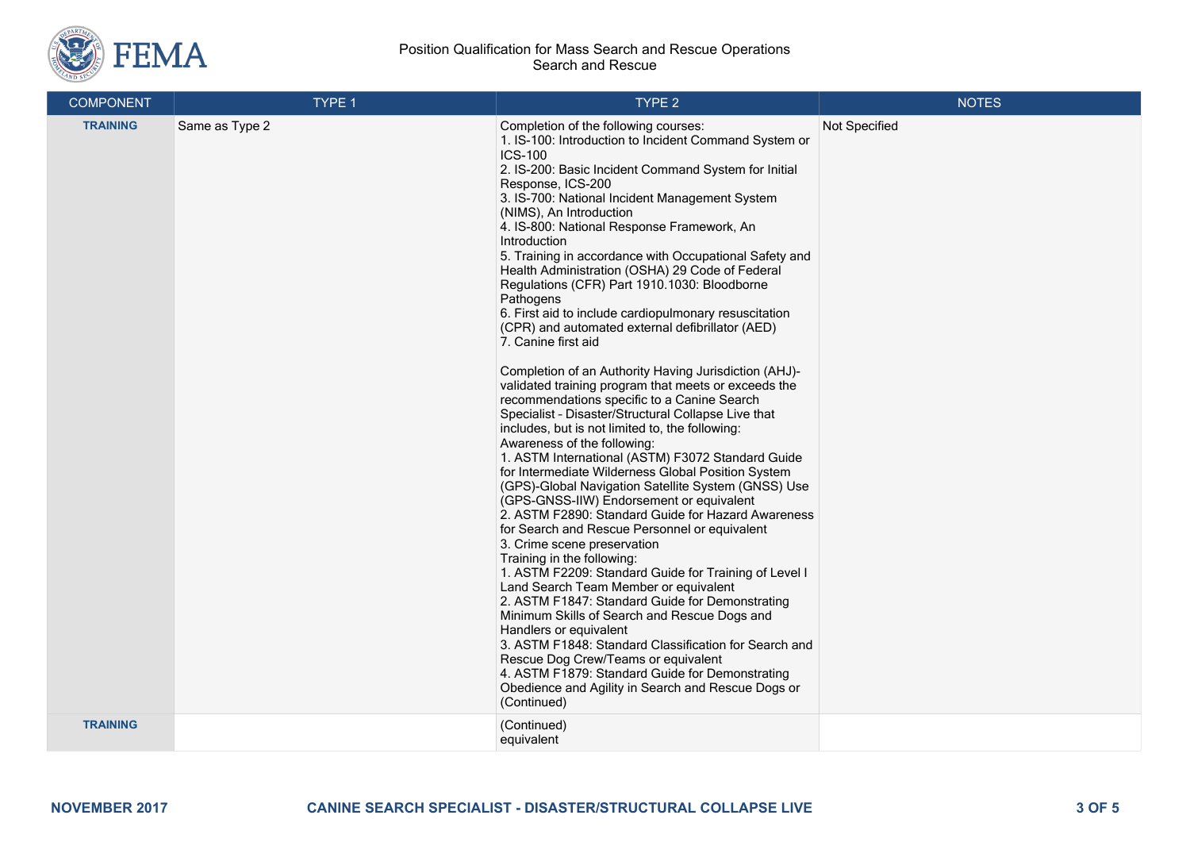

#### Position Qualification for Mass Search and Rescue Operations Search and Rescue

| <b>COMPONENT</b> | TYPE 1         | TYPE 2                                                                                                                                                                                                                                                                                                                                                                                                                                                                                                                                                                                                                                                                                                                                                                                                                                                                                                                                                                                                                                                                                                                                                                                                                                                                                                                                                                                                                                                                                                                                                                                                                                                                                                                                                                                                  | <b>NOTES</b>  |
|------------------|----------------|---------------------------------------------------------------------------------------------------------------------------------------------------------------------------------------------------------------------------------------------------------------------------------------------------------------------------------------------------------------------------------------------------------------------------------------------------------------------------------------------------------------------------------------------------------------------------------------------------------------------------------------------------------------------------------------------------------------------------------------------------------------------------------------------------------------------------------------------------------------------------------------------------------------------------------------------------------------------------------------------------------------------------------------------------------------------------------------------------------------------------------------------------------------------------------------------------------------------------------------------------------------------------------------------------------------------------------------------------------------------------------------------------------------------------------------------------------------------------------------------------------------------------------------------------------------------------------------------------------------------------------------------------------------------------------------------------------------------------------------------------------------------------------------------------------|---------------|
| <b>TRAINING</b>  | Same as Type 2 | Completion of the following courses:<br>1. IS-100: Introduction to Incident Command System or<br><b>ICS-100</b><br>2. IS-200: Basic Incident Command System for Initial<br>Response, ICS-200<br>3. IS-700: National Incident Management System<br>(NIMS), An Introduction<br>4. IS-800: National Response Framework, An<br>Introduction<br>5. Training in accordance with Occupational Safety and<br>Health Administration (OSHA) 29 Code of Federal<br>Regulations (CFR) Part 1910.1030: Bloodborne<br>Pathogens<br>6. First aid to include cardiopulmonary resuscitation<br>(CPR) and automated external defibrillator (AED)<br>7. Canine first aid<br>Completion of an Authority Having Jurisdiction (AHJ)-<br>validated training program that meets or exceeds the<br>recommendations specific to a Canine Search<br>Specialist - Disaster/Structural Collapse Live that<br>includes, but is not limited to, the following:<br>Awareness of the following:<br>1. ASTM International (ASTM) F3072 Standard Guide<br>for Intermediate Wilderness Global Position System<br>(GPS)-Global Navigation Satellite System (GNSS) Use<br>(GPS-GNSS-IIW) Endorsement or equivalent<br>2. ASTM F2890: Standard Guide for Hazard Awareness<br>for Search and Rescue Personnel or equivalent<br>3. Crime scene preservation<br>Training in the following:<br>1. ASTM F2209: Standard Guide for Training of Level I<br>Land Search Team Member or equivalent<br>2. ASTM F1847: Standard Guide for Demonstrating<br>Minimum Skills of Search and Rescue Dogs and<br>Handlers or equivalent<br>3. ASTM F1848: Standard Classification for Search and<br>Rescue Dog Crew/Teams or equivalent<br>4. ASTM F1879: Standard Guide for Demonstrating<br>Obedience and Agility in Search and Rescue Dogs or<br>(Continued) | Not Specified |
| <b>TRAINING</b>  |                | (Continued)<br>equivalent                                                                                                                                                                                                                                                                                                                                                                                                                                                                                                                                                                                                                                                                                                                                                                                                                                                                                                                                                                                                                                                                                                                                                                                                                                                                                                                                                                                                                                                                                                                                                                                                                                                                                                                                                                               |               |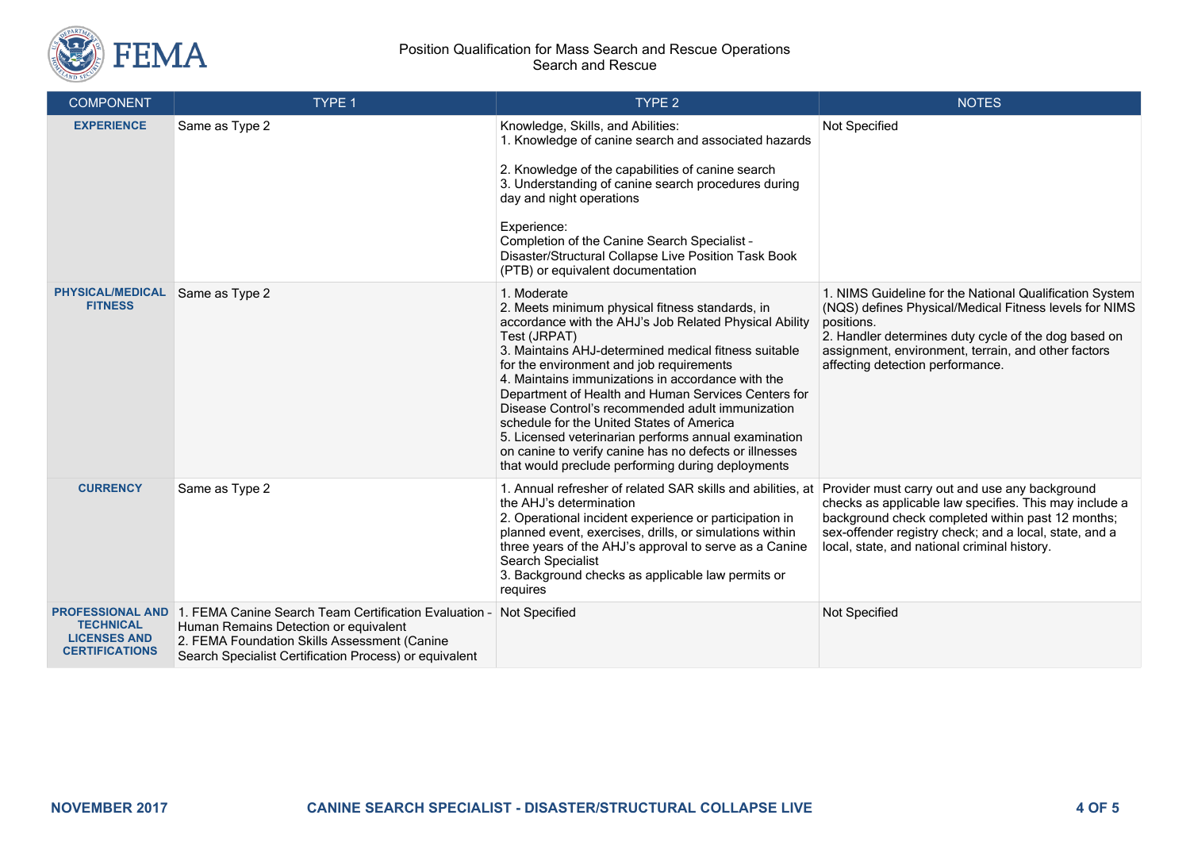

#### Position Qualification for Mass Search and Rescue Operations Search and Rescue

| <b>COMPONENT</b>                                                                            | TYPE 1                                                                                                                                                                                                   | TYPE <sub>2</sub>                                                                                                                                                                                                                                                                                                                                                                                                                                                                                                                                                                                                                | <b>NOTES</b>                                                                                                                                                                                                                                                                       |
|---------------------------------------------------------------------------------------------|----------------------------------------------------------------------------------------------------------------------------------------------------------------------------------------------------------|----------------------------------------------------------------------------------------------------------------------------------------------------------------------------------------------------------------------------------------------------------------------------------------------------------------------------------------------------------------------------------------------------------------------------------------------------------------------------------------------------------------------------------------------------------------------------------------------------------------------------------|------------------------------------------------------------------------------------------------------------------------------------------------------------------------------------------------------------------------------------------------------------------------------------|
| <b>EXPERIENCE</b>                                                                           | Same as Type 2                                                                                                                                                                                           | Knowledge, Skills, and Abilities:<br>1. Knowledge of canine search and associated hazards<br>2. Knowledge of the capabilities of canine search<br>3. Understanding of canine search procedures during<br>day and night operations<br>Experience:<br>Completion of the Canine Search Specialist -<br>Disaster/Structural Collapse Live Position Task Book<br>(PTB) or equivalent documentation                                                                                                                                                                                                                                    | Not Specified                                                                                                                                                                                                                                                                      |
| <b>PHYSICAL/MEDICAL</b><br><b>FITNESS</b>                                                   | Same as Type 2                                                                                                                                                                                           | 1. Moderate<br>2. Meets minimum physical fitness standards, in<br>accordance with the AHJ's Job Related Physical Ability<br>Test (JRPAT)<br>3. Maintains AHJ-determined medical fitness suitable<br>for the environment and job requirements<br>4. Maintains immunizations in accordance with the<br>Department of Health and Human Services Centers for<br>Disease Control's recommended adult immunization<br>schedule for the United States of America<br>5. Licensed veterinarian performs annual examination<br>on canine to verify canine has no defects or illnesses<br>that would preclude performing during deployments | 1. NIMS Guideline for the National Qualification System<br>(NQS) defines Physical/Medical Fitness levels for NIMS<br>positions.<br>2. Handler determines duty cycle of the dog based on<br>assignment, environment, terrain, and other factors<br>affecting detection performance. |
| <b>CURRENCY</b>                                                                             | Same as Type 2                                                                                                                                                                                           | 1. Annual refresher of related SAR skills and abilities, at<br>the AHJ's determination<br>2. Operational incident experience or participation in<br>planned event, exercises, drills, or simulations within<br>three years of the AHJ's approval to serve as a Canine<br>Search Specialist<br>3. Background checks as applicable law permits or<br>requires                                                                                                                                                                                                                                                                      | Provider must carry out and use any background<br>checks as applicable law specifies. This may include a<br>background check completed within past 12 months;<br>sex-offender registry check; and a local, state, and a<br>local, state, and national criminal history.            |
| <b>PROFESSIONAL AND</b><br><b>TECHNICAL</b><br><b>LICENSES AND</b><br><b>CERTIFICATIONS</b> | 1. FEMA Canine Search Team Certification Evaluation -<br>Human Remains Detection or equivalent<br>2. FEMA Foundation Skills Assessment (Canine<br>Search Specialist Certification Process) or equivalent | Not Specified                                                                                                                                                                                                                                                                                                                                                                                                                                                                                                                                                                                                                    | Not Specified                                                                                                                                                                                                                                                                      |